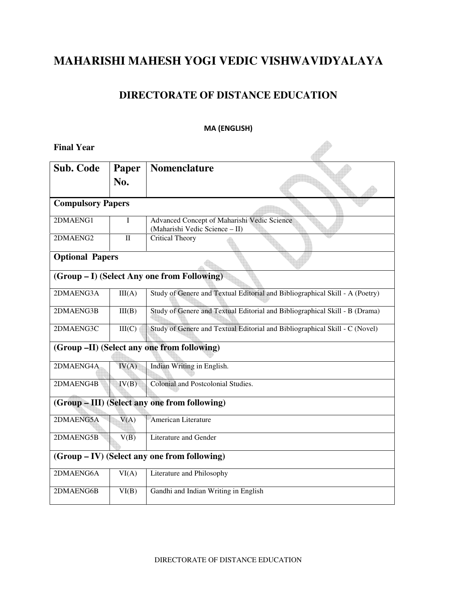# **MAHARISHI MAHESH YOGI VEDIC VISHWAVIDYALAYA**

### **DIRECTORATE OF DISTANCE EDUCATION**

#### MA (ENGLISH)

| <b>Final Year</b>                            |              |                                                                               |
|----------------------------------------------|--------------|-------------------------------------------------------------------------------|
| <b>Sub. Code</b>                             | Paper        | <b>Nomenclature</b>                                                           |
|                                              | No.          |                                                                               |
| <b>Compulsory Papers</b>                     |              |                                                                               |
| 2DMAENG1                                     | I            | Advanced Concept of Maharishi Vedic Science<br>(Maharishi Vedic Science - II) |
| 2DMAENG2                                     | $\mathbf{I}$ | <b>Critical Theory</b>                                                        |
| <b>Optional Papers</b>                       |              |                                                                               |
|                                              |              | (Group - I) (Select Any one from Following)                                   |
| 2DMAENG3A                                    | III(A)       | Study of Genere and Textual Editorial and Bibliographical Skill - A (Poetry)  |
| 2DMAENG3B                                    | III(B)       | Study of Genere and Textual Editorial and Bibliographical Skill - B (Drama)   |
| 2DMAENG3C                                    | III(C)       | Study of Genere and Textual Editorial and Bibliographical Skill - C (Novel)   |
|                                              |              | (Group -II) (Select any one from following)                                   |
| 2DMAENG4A                                    | IV(A)        | Indian Writing in English.                                                    |
| 2DMAENG4B                                    | IV(B)        | Colonial and Postcolonial Studies.                                            |
|                                              |              | (Group - III) (Select any one from following)                                 |
| 2DMAENG5A                                    | V(A)         | American Literature                                                           |
| 2DMAENG5B                                    | V(B)         | Literature and Gender                                                         |
| (Group – IV) (Select any one from following) |              |                                                                               |
| 2DMAENG6A                                    | VI(A)        | Literature and Philosophy                                                     |
| 2DMAENG6B                                    | VI(B)        | Gandhi and Indian Writing in English                                          |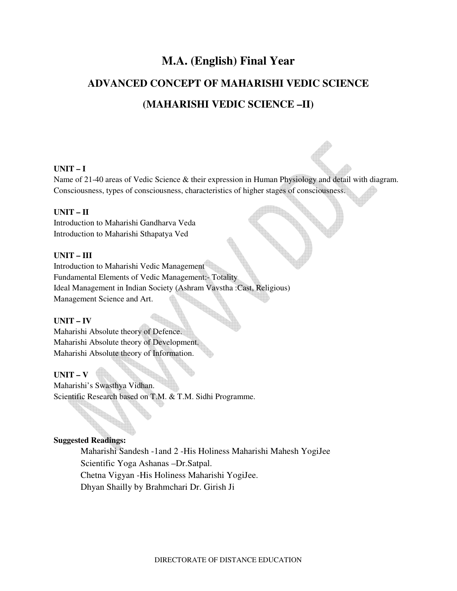# **M.A. (English) Final Year ADVANCED CONCEPT OF MAHARISHI VEDIC SCIENCE (MAHARISHI VEDIC SCIENCE –II)**

#### **UNIT – I**

Name of 21-40 areas of Vedic Science & their expression in Human Physiology and detail with diagram. Consciousness, types of consciousness, characteristics of higher stages of consciousness.

#### **UNIT – II**

Introduction to Maharishi Gandharva Veda Introduction to Maharishi Sthapatya Ved

#### **UNIT – III**

Introduction to Maharishi Vedic Management Fundamental Elements of Vedic Management:- Totality Ideal Management in Indian Society (Ashram Vavstha :Cast, Religious) Management Science and Art.

#### **UNIT – IV**

Maharishi Absolute theory of Defence. Maharishi Absolute theory of Development. Maharishi Absolute theory of Information.

#### **UNIT – V**

Maharishi's Swasthya Vidhan. Scientific Research based on T.M. & T.M. Sidhi Programme.

#### **Suggested Readings:**

Maharishi Sandesh -1and 2 -His Holiness Maharishi Mahesh YogiJee Scientific Yoga Ashanas –Dr.Satpal. Chetna Vigyan -His Holiness Maharishi YogiJee. Dhyan Shailly by Brahmchari Dr. Girish Ji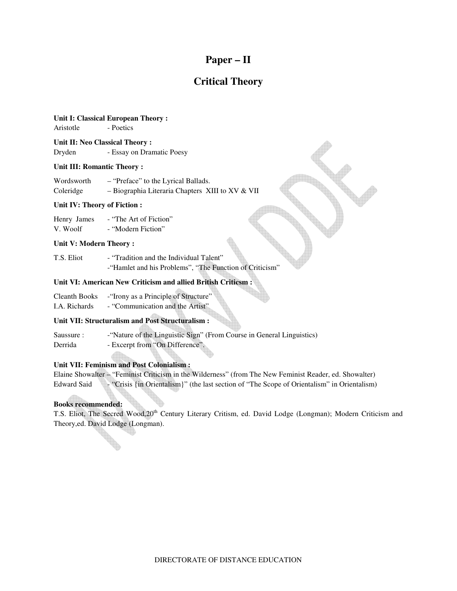### **Paper – II**

### **Critical Theory**

### **Unit I: Classical European Theory :**

Aristotle - Poetics

**Unit II: Neo Classical Theory :**  Dryden - Essay on Dramatic Poesy

#### **Unit III: Romantic Theory :**

| Wordsworth | - "Preface" to the Lyrical Ballads.                |
|------------|----------------------------------------------------|
| Coleridge  | $-$ Biographia Literaria Chapters XIII to XV & VII |

#### **Unit IV: Theory of Fiction :**

| Henry James | - "The Art of Fiction" |
|-------------|------------------------|
| V. Woolf    | - "Modern Fiction"     |

#### **Unit V: Modern Theory :**

T.S. Eliot - "Tradition and the Individual Talent" -"Hamlet and his Problems", "The Function of Criticism"

#### **Unit VI: American New Criticism and allied British Criticsm :**

|  | Cleanth Books | - Trony as a Principle of Structure" |
|--|---------------|--------------------------------------|
|--|---------------|--------------------------------------|

I.A. Richards - "Communication and the Artist"

#### **Unit VII: Structuralism and Post Structuralism :**

| Saussure: | - "Nature of the Linguistic Sign" (From Course in General Linguistics) |
|-----------|------------------------------------------------------------------------|
| Derrida   | - Excerpt from "On Difference".                                        |

#### **Unit VII: Feminism and Post Colonialism :**

|             | Elaine Showalter – "Feminist Criticism in the Wilderness" (from The New Feminist Reader, ed. Showalter) |  |  |
|-------------|---------------------------------------------------------------------------------------------------------|--|--|
| Edward Said | $\sim$ "Crisis {in Orientalism}" (the last section of "The Scope of Orientalism" in Orientalism)        |  |  |

U

#### **Books recommended:**

T.S. Eliot, The Secred Wood,20<sup>th</sup> Century Literary Critism, ed. David Lodge (Longman); Modern Criticism and Theory,ed. David Lodge (Longman).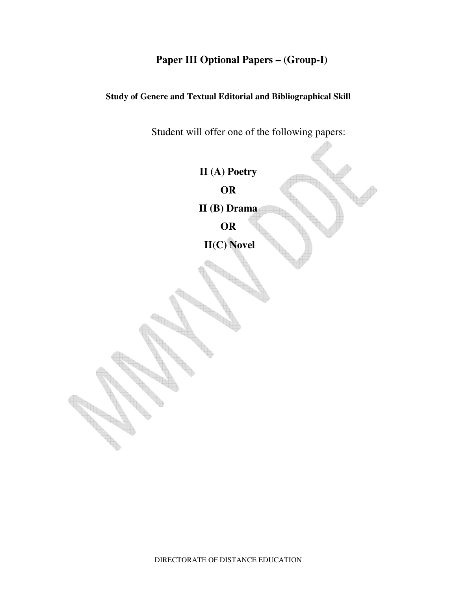# **Paper III Optional Papers – (Group-I)**

**Study of Genere and Textual Editorial and Bibliographical Skill** 

Student will offer one of the following papers:

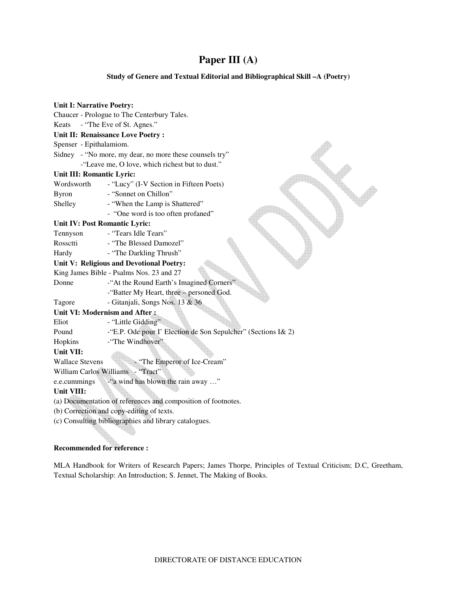### **Paper III (A)**

#### **Study of Genere and Textual Editorial and Bibliographical Skill –A (Poetry)**

| <b>Unit I: Narrative Poetry:</b>          |                                                               |  |
|-------------------------------------------|---------------------------------------------------------------|--|
|                                           | Chaucer - Prologue to The Centerbury Tales.                   |  |
| Keats                                     | - "The Eve of St. Agnes."                                     |  |
|                                           | Unit II: Renaissance Love Poetry :                            |  |
| Spenser - Epithalamiom.                   |                                                               |  |
|                                           | Sidney - "No more, my dear, no more these counsels try"       |  |
|                                           | -"Leave me, O love, which richest but to dust."               |  |
| Unit III: Romantic Lyric:                 |                                                               |  |
| Wordsworth                                | - "Lucy" (I-V Section in Fifteen Poets)                       |  |
| <b>Byron</b>                              | - "Sonnet on Chillon"                                         |  |
| Shelley                                   | - "When the Lamp is Shattered"                                |  |
|                                           | - "One word is too often profaned"                            |  |
| Unit IV: Post Romantic Lyric:             |                                                               |  |
| Tennyson                                  | - "Tears Idle Tears"                                          |  |
| Rossetti                                  | - "The Blessed Damozel"                                       |  |
| Hardy                                     | - "The Darkling Thrush"                                       |  |
|                                           | Unit V: Religious and Devotional Poetry:                      |  |
|                                           | King James Bible - Psalms Nos. 23 and 27                      |  |
| Donne                                     | -"At the Round Earth's Imagined Corners"                      |  |
|                                           | -"Batter My Heart, three - personed God.                      |  |
| Tagore                                    | - Gitanjali, Songs Nos. 13 & 36                               |  |
| Unit VI: Modernism and After:             |                                                               |  |
| Eliot                                     | - "Little Gidding"                                            |  |
| Pound                                     | -"E.P. Ode pour I' Election de Son Sepulcher" (Sections I& 2) |  |
| Hopkins                                   | -"The Windhover"                                              |  |
| Unit VII:                                 |                                                               |  |
| <b>Wallace Stevens</b>                    | - "The Emperor of Ice-Cream"                                  |  |
|                                           | William Carlos Williams - "Tract"                             |  |
| e.e.cummings                              | -"a wind has blown the rain away "                            |  |
| Unit VIII:                                |                                                               |  |
|                                           | (a) Documentation of references and composition of footnotes. |  |
| (b) Correction and copy-editing of texts. |                                                               |  |
|                                           | (c) Consulting bibliographies and library catalogues.         |  |
|                                           |                                                               |  |

#### **Recommended for reference :**

MLA Handbook for Writers of Research Papers; James Thorpe, Principles of Textual Criticism; D.C, Greetham, Textual Scholarship: An Introduction; S. Jennet, The Making of Books.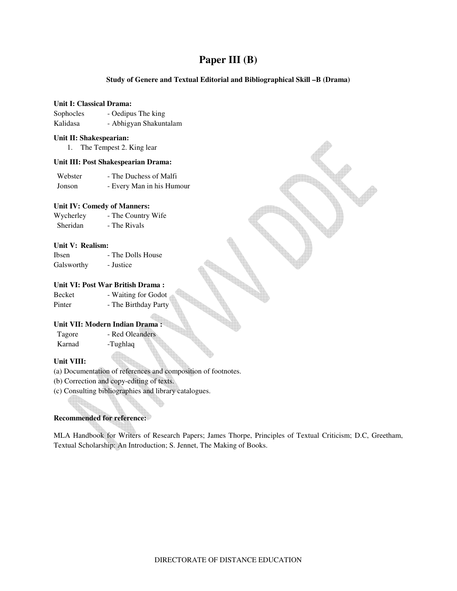### **Paper III (B)**

#### **Study of Genere and Textual Editorial and Bibliographical Skill –B (Drama)**

#### **Unit I: Classical Drama:**

| Sophocles | - Oedipus The king     |
|-----------|------------------------|
| Kalidasa  | - Abhigyan Shakuntalam |

#### **Unit II: Shakespearian:**

1. The Tempest 2. King lear

#### **Unit III: Post Shakespearian Drama:**

| Webster | - The Duchess of Malfi    |
|---------|---------------------------|
| Jonson  | - Every Man in his Humour |

#### **Unit IV: Comedy of Manners:**

| Wycherley | - The Country Wife |
|-----------|--------------------|
| Sheridan  | - The Rivals       |

#### **Unit V: Realism:**

| Ibsen      | - The Dolls House |
|------------|-------------------|
| Galsworthy | - Justice         |

#### **Unit VI: Post War British Drama :**

| <b>Becket</b> | - Waiting for Godot  |
|---------------|----------------------|
| Pinter        | - The Birthday Party |

#### **Unit VII: Modern Indian Drama :**

| Tagore | - Red Oleanders |
|--------|-----------------|
| Karnad | -Tughlaq        |

#### **Unit VIII:**

(a) Documentation of references and composition of footnotes.

(b) Correction and copy-editing of texts.

(c) Consulting bibliographies and library catalogues.

#### **Recommended for reference:**

MLA Handbook for Writers of Research Papers; James Thorpe, Principles of Textual Criticism; D.C, Greetham, Textual Scholarship: An Introduction; S. Jennet, The Making of Books.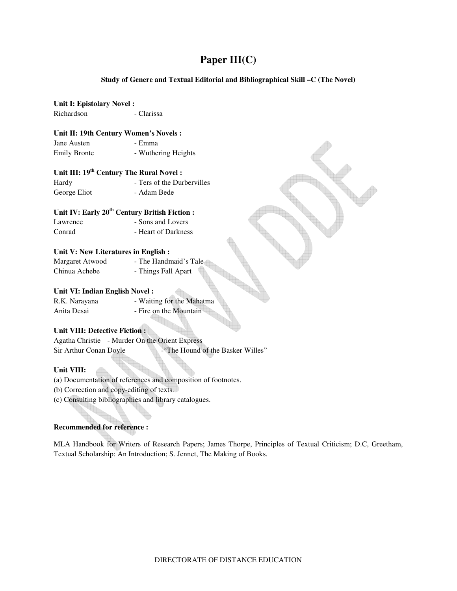### **Paper III(C)**

#### **Study of Genere and Textual Editorial and Bibliographical Skill –C (The Novel)**

#### **Unit I: Epistolary Novel :**

Richardson - Clarissa

#### **Unit II: 19th Century Women's Novels :**

Jane Austen - Emma Emily Bronte - Wuthering Heights

#### **Unit III: 19th Century The Rural Novel :**

| Hardy        | - Ters of the Durbervilles |
|--------------|----------------------------|
| George Eliot | - Adam Bede                |

#### **Unit IV: Early 20th Century British Fiction :**

| Lawrence | - Sons and Lovers   |
|----------|---------------------|
| Conrad   | - Heart of Darkness |

#### **Unit V: New Literatures in English :**

| Margaret Atwood | - The Handmaid's Tale |
|-----------------|-----------------------|
| Chinua Achebe   | - Things Fall Apart   |

#### **Unit VI: Indian English Novel :**

R.K. Narayana - Waiting for the Mahatma Anita Desai - Fire on the Mountain

#### **Unit VIII: Detective Fiction :**

Agatha Christie - Murder On the Orient Express Sir Arthur Conan Doyle - "The Hound of the Basker Willes"

#### **Unit VIII:**

(a) Documentation of references and composition of footnotes.

(b) Correction and copy-editing of texts.

(c) Consulting bibliographies and library catalogues.

#### **Recommended for reference :**

MLA Handbook for Writers of Research Papers; James Thorpe, Principles of Textual Criticism; D.C, Greetham, Textual Scholarship: An Introduction; S. Jennet, The Making of Books.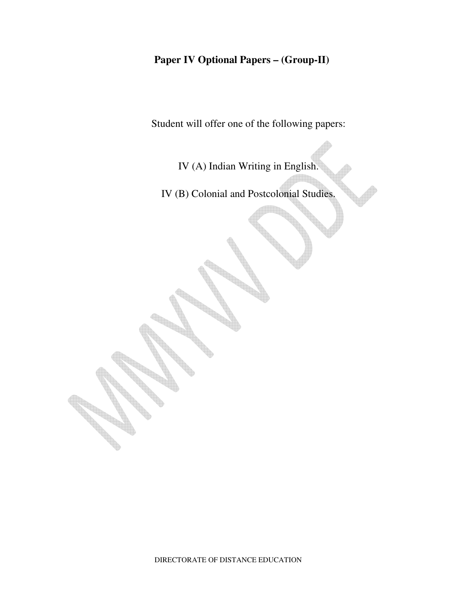# **Paper IV Optional Papers – (Group-II)**

Student will offer one of the following papers:

IV (A) Indian Writing in English.

IV (B) Colonial and Postcolonial Studies.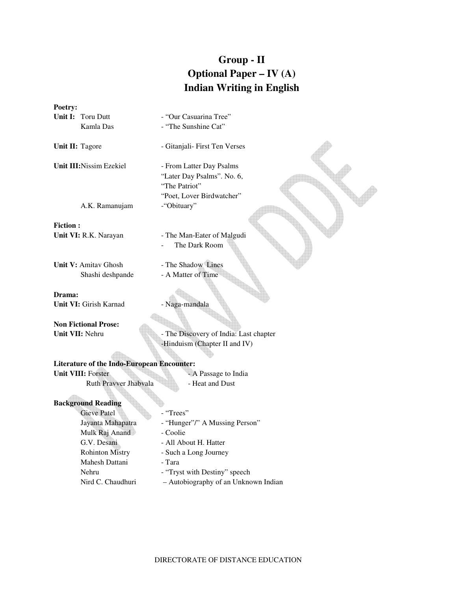# **Group - II Optional Paper – IV (A) Indian Writing in English**

| Unit II: Tagore                                   | - Gitanjali- First Ten Verses          |
|---------------------------------------------------|----------------------------------------|
| <b>Unit III: Nissim Ezekiel</b>                   | - From Latter Day Psalms               |
|                                                   | "Later Day Psalms". No. 6,             |
|                                                   | "The Patriot"                          |
|                                                   | "Poet, Lover Birdwatcher"              |
| A.K. Ramanujam                                    | -"Obituary"                            |
| <b>Fiction:</b>                                   |                                        |
| Unit VI: R.K. Narayan                             | - The Man-Eater of Malgudi             |
|                                                   | The Dark Room                          |
| <b>Unit V:</b> Amitay Ghosh                       | - The Shadow Lines                     |
| Shashi deshpande                                  | - A Matter of Time                     |
|                                                   |                                        |
| Drama:                                            |                                        |
| <b>Unit VI: Girish Karnad</b>                     | - Naga-mandala                         |
|                                                   |                                        |
| <b>Non Fictional Prose:</b>                       |                                        |
| Unit VII: Nehru                                   | - The Discovery of India: Last chapter |
|                                                   | -Hinduism (Chapter II and IV)          |
|                                                   |                                        |
| <b>Literature of the Indo-European Encounter:</b> |                                        |
|                                                   |                                        |
| <b>Unit VIII: Forster</b>                         | A Passage to India                     |

**Unit I:** Toru Dutt - "Our Casuarina Tree" Kamla Das - "The Sunshine Cat"

Ruth Pravver Jhabvala - Heat and Dust

**Background Reading** 

**Poetry:** 

Gieve Patel - "Trees" Jayanta Mahapatra - "Hunger"/" A Mussing Person" Mulk Raj Anand - Coolie G.V. Desani - All About H. Hatter Rohinton Mistry - Such a Long Journey Mahesh Dattani - Tara Nehru - "Tryst with Destiny" speech Nird C. Chaudhuri – Autobiography of an Unknown Indian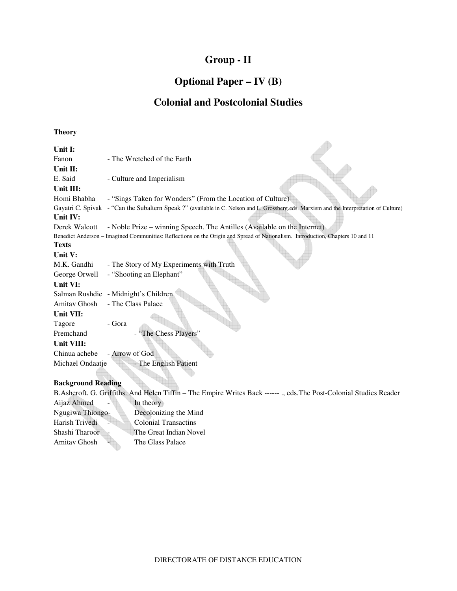# **Group - II**

### **Optional Paper – IV (B)**

### **Colonial and Postcolonial Studies**

di.

#### **Theory**

| Unit I:                   |                                                                                                                                          |
|---------------------------|------------------------------------------------------------------------------------------------------------------------------------------|
| Fanon                     | - The Wretched of the Earth                                                                                                              |
| Unit II:                  |                                                                                                                                          |
| E. Said                   | - Culture and Imperialism                                                                                                                |
| Unit III:                 |                                                                                                                                          |
| Homi Bhabha               | - "Sings Taken for Wonders" (From the Location of Culture)                                                                               |
|                           | Gayatri C. Spivak - "Can the Subaltern Speak ?" (available in C. Nelson and L. Grossberg.eds. Marxism and the Interpretation of Culture) |
| Unit IV:                  |                                                                                                                                          |
| Derek Walcott             | - Noble Prize – winning Speech. The Antilles (Available on the Internet)                                                                 |
|                           | Benedict Anderson - Imagined Communities: Reflections on the Origin and Spread of Nationalism. Introduction, Chapters 10 and 11          |
| <b>Texts</b>              |                                                                                                                                          |
| Unit V:                   |                                                                                                                                          |
| M.K. Gandhi               | - The Story of My Experiments with Truth                                                                                                 |
| George Orwell             | - "Shooting an Elephant"                                                                                                                 |
| Unit VI:                  |                                                                                                                                          |
|                           | Salman Rushdie - Midnight's Children                                                                                                     |
| Amitav Ghosh              | - The Class Palace                                                                                                                       |
| Unit VII:                 |                                                                                                                                          |
| Tagore                    | - Gora                                                                                                                                   |
| Premchand                 | "The Chess Players"                                                                                                                      |
| Unit VIII:                |                                                                                                                                          |
| Chinua achebe             | - Arrow of God                                                                                                                           |
| Michael Ondaatje          | - The English Patient                                                                                                                    |
|                           |                                                                                                                                          |
| <b>Background Reading</b> |                                                                                                                                          |
|                           | R Asheroft G Griffiths, And Helen Tiffin. The Empire Writes Rack and a The Post Colonial Studies Reader                                  |

B.Asheroft. G. Griffiths. And Helen Tiffin – The Empire Writes Back ------ ., eds.The Post-Colonial Studies Reader Aijaz Ahmed - In theory Ngugiwa Thiongo- Decolonizing the Mind Harish Trivedi - Colonial Transactins Shashi Tharoor - The Great Indian Novel Amitav Ghosh - The Glass Palace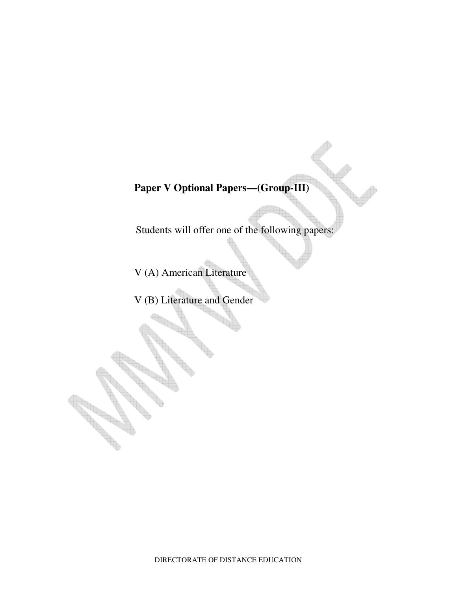# **Paper V Optional Papers—(Group-III)**

Students will offer one of the following papers:

V (A) American Literature

V (B) Literature and Gender

DIRECTORATE OF DISTANCE EDUCATION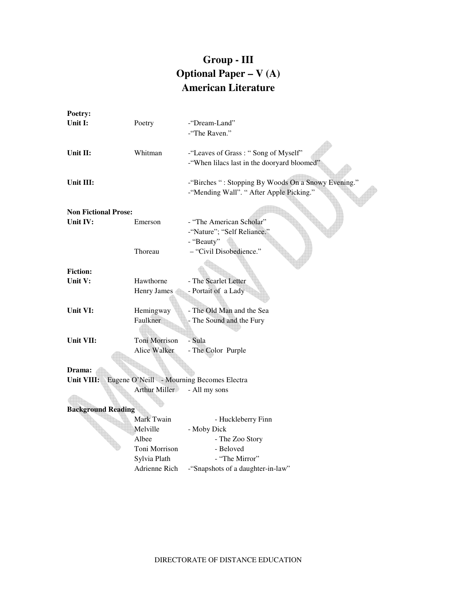# **Group - III Optional Paper – V (A) American Literature**

| Poetry:                     |                      |                                                     |
|-----------------------------|----------------------|-----------------------------------------------------|
| Unit I:                     | Poetry               | -"Dream-Land"                                       |
|                             |                      | -"The Raven."                                       |
|                             |                      |                                                     |
| Unit II:                    | Whitman              | -"Leaves of Grass: "Song of Myself"                 |
|                             |                      | -"When lilacs last in the dooryard bloomed"         |
|                             |                      |                                                     |
| Unit III:                   |                      | -"Birches ": Stopping By Woods On a Snowy Evening." |
|                             |                      | -"Mending Wall". " After Apple Picking."            |
| <b>Non Fictional Prose:</b> |                      |                                                     |
| Unit IV:                    | Emerson              | - "The American Scholar"                            |
|                             |                      | -"Nature"; "Self Reliance."                         |
|                             |                      | - "Beauty"                                          |
|                             | Thoreau              | - "Civil Disobedience."                             |
|                             |                      |                                                     |
| <b>Fiction:</b>             |                      |                                                     |
| Unit V:                     | Hawthorne            | - The Scarlet Letter                                |
|                             | Henry James          | - Portait of a Lady                                 |
|                             |                      |                                                     |
| Unit VI:                    | Hemingway            | - The Old Man and the Sea                           |
|                             | Faulkner             | - The Sound and the Fury                            |
|                             |                      |                                                     |
| Unit VII:                   | <b>Toni Morrison</b> | - Sula                                              |
|                             | Alice Walker         | - The Color Purple                                  |
|                             |                      |                                                     |
| Drama:                      |                      |                                                     |
| Unit VIII:                  |                      | Eugene O'Neill - Mourning Becomes Electra           |
|                             | Arthur Miller        | - All my sons                                       |
|                             |                      |                                                     |
| <b>Background Reading</b>   | Mark Twain           |                                                     |
|                             | Melville             | - Huckleberry Finn                                  |
|                             | Albee                | - Moby Dick                                         |
|                             | Toni Morrison        | - The Zoo Story<br>- Beloved                        |
|                             | Sylvia Plath         | - "The Mirror"                                      |
|                             | Adrienne Rich        | -"Snapshots of a daughter-in-law"                   |
|                             |                      |                                                     |
|                             |                      |                                                     |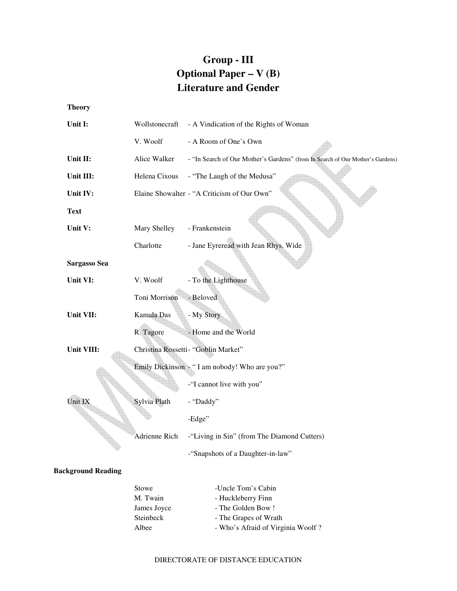# **Group - III Optional Paper – V (B) Literature and Gender**

**Theory** 

| Unit I:      | Wollstonecraft | - A Vindication of the Rights of Woman                                         |
|--------------|----------------|--------------------------------------------------------------------------------|
|              | V. Woolf       | - A Room of One's Own                                                          |
| Unit II:     | Alice Walker   | - "In Search of Our Mother's Gardens" (from In Search of Our Mother's Gardens) |
| Unit III:    | Helena Cixous  | - "The Laugh of the Medusa"                                                    |
| Unit IV:     |                | Elaine Showalter - "A Criticism of Our Own"                                    |
| <b>Text</b>  |                |                                                                                |
| Unit V:      | Mary Shelley   | - Frankenstein                                                                 |
|              | Charlotte      | - Jane Eyreread with Jean Rhys. Wide                                           |
| Sargasso Sea |                |                                                                                |
| Unit VI:     | V. Woolf       | - To the Lighthouse                                                            |
|              | Toni Morrison  | - Beloved                                                                      |
| Unit VII:    | Kamala Das     | - My Story                                                                     |
|              | R. Tagore      | - Home and the World                                                           |
| Unit VIII:   |                | Christina Rossetti- "Goblin Market"                                            |
|              |                | Emily Dickinson - "I am nobody! Who are you?"                                  |
|              |                | -"I cannot live with you"                                                      |
| Unit IX      | Sylvia Plath   | - "Daddy"                                                                      |
|              |                | -Edge"                                                                         |
|              | Adrienne Rich  | -"Living in Sin" (from The Diamond Cutters)                                    |
|              |                | -"Snapshots of a Daughter-in-law"                                              |

### **Background Reading**

| Stowe       | -Uncle Tom's Cabin                |
|-------------|-----------------------------------|
| M. Twain    | - Huckleberry Finn                |
| James Joyce | - The Golden Bow!                 |
| Steinbeck   | - The Grapes of Wrath             |
| Albee       | - Who's Afraid of Virginia Woolf? |

#### DIRECTORATE OF DISTANCE EDUCATION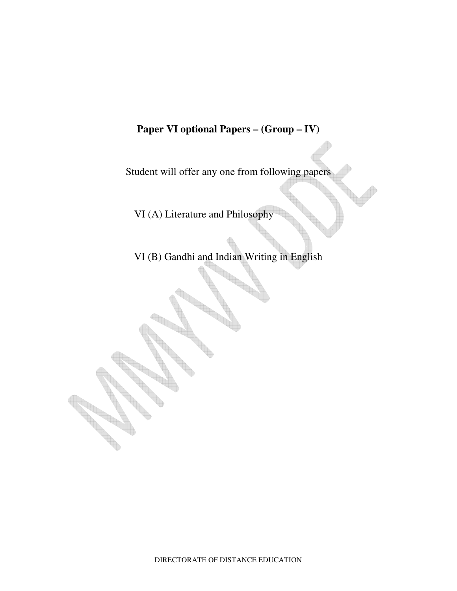# **Paper VI optional Papers – (Group – IV)**

Student will offer any one from following papers

VI (A) Literature and Philosophy

VI (B) Gandhi and Indian Writing in English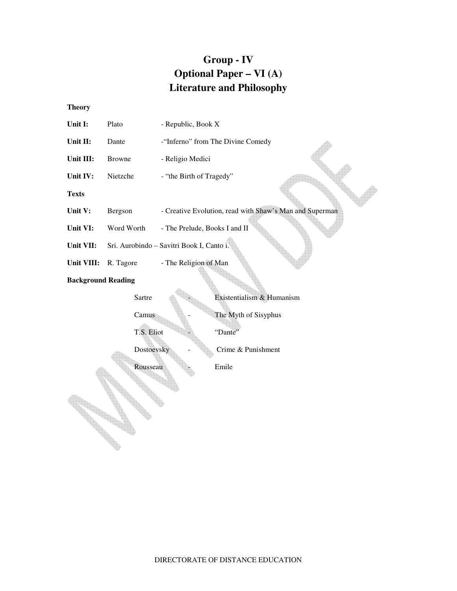# **Group - IV Optional Paper – VI (A) Literature and Philosophy**

**Theory** 

| Unit I:                   | Plato         | - Republic, Book X                                      |
|---------------------------|---------------|---------------------------------------------------------|
| Unit II:                  | Dante         | -"Inferno" from The Divine Comedy                       |
| Unit III:                 | <b>Browne</b> | - Religio Medici                                        |
| Unit IV:                  | Nietzche      | - "the Birth of Tragedy"                                |
| <b>Texts</b>              |               |                                                         |
| Unit V:                   | Bergson       | - Creative Evolution, read with Shaw's Man and Superman |
| Unit VI:                  | Word Worth    | - The Prelude, Books I and II                           |
| Unit VII:                 |               | Sri. Aurobindo - Savitri Book I, Canto i.               |
| Unit VIII:                | R. Tagore     | - The Religion of Man                                   |
| <b>Background Reading</b> |               |                                                         |
|                           | Sartre        | Existentialism & Humanism                               |
|                           | Camus         | The Myth of Sisyphus                                    |
|                           | T.S. Eliot    | "Dante"                                                 |
|                           | Dostoevsky    | Crime & Punishment                                      |
| Rousseau<br>Emile         |               |                                                         |
|                           |               |                                                         |